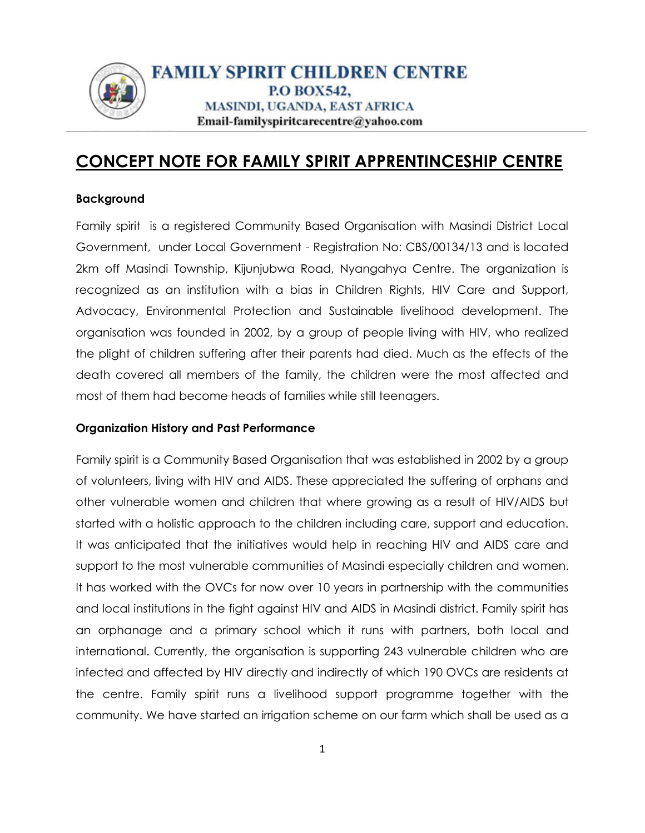

# **CONCEPT NOTE FOR FAMILY SPIRIT APPRENTINCESHIP CENTRE**

#### **Background**

Family spirit is a registered Community Based Organisation with Masindi District Local Government, under Local Government - Registration No: CBS/00134/13 and is located 2km off Masindi Township, Kijunjubwa Road, Nyangahya Centre. The organization is recognized as an institution with a bias in Children Rights, HIV Care and Support, Advocacy, Environmental Protection and Sustainable livelihood development. The organisation was founded in 2002, by a group of people living with HIV, who realized the plight of children suffering after their parents had died. Much as the effects of the death covered all members of the family, the children were the most affected and most of them had become heads of families while still teenagers.

#### **Organization History and Past Performance**

Family spirit is a Community Based Organisation that was established in 2002 by a group of volunteers, living with HIV and AIDS. These appreciated the suffering of orphans and other vulnerable women and children that where growing as a result of HIV/AIDS but started with a holistic approach to the children including care, support and education. It was anticipated that the initiatives would help in reaching HIV and AIDS care and support to the most vulnerable communities of Masindi especially children and women. It has worked with the OVCs for now over 10 years in partnership with the communities and local institutions in the fight against HIV and AIDS in Masindi district. Family spirit has an orphanage and a primary school which it runs with partners, both local and international. Currently, the organisation is supporting 243 vulnerable children who are infected and affected by HIV directly and indirectly of which 190 OVCs are residents at the centre. Family spirit runs a livelihood support programme together with the community. We have started an irrigation scheme on our farm which shall be used as a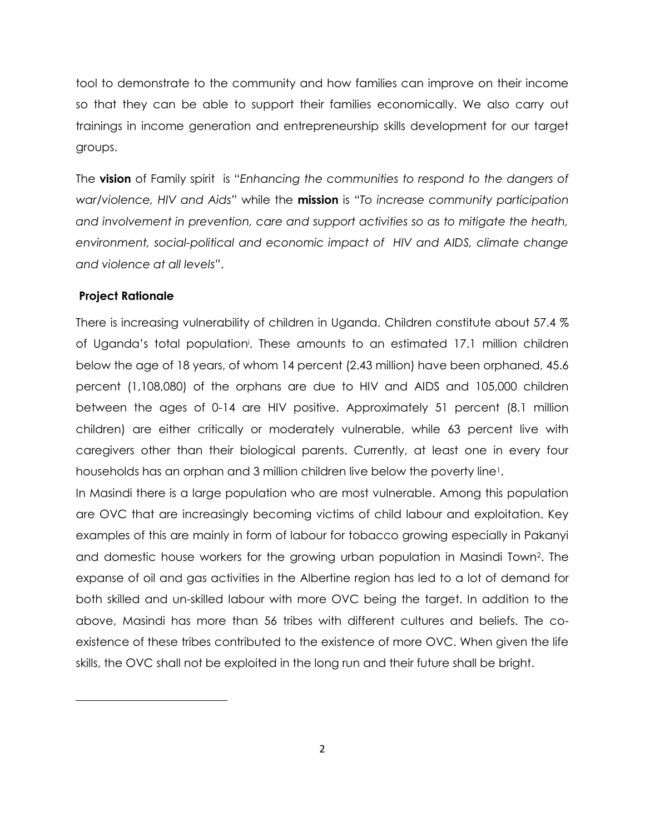tool to demonstrate to the community and how families can improve on their income so that they can be able to support their families economically. We also carry out trainings in income generation and entrepreneurship skills development for our target groups.

The **vision** of Family spirit is "*Enhancing the communities to respond to the dangers of war/violence, HIV and Aids"* while the **mission** is *"To increase community participation and involvement in prevention, care and support activities so as to mitigate the heath, environment, social-political and economic impact of HIV and AIDS, climate change and violence at all levels"*.

#### **Project Rationale**

 $\overline{\phantom{a}}$ 

There is increasing vulnerability of children in Uganda. Children constitute about 57.4 % of Uganda's total population<sup>i</sup>. These amounts to an estimated 17.1 million children below the age of 18 years, of whom 14 percent (2.43 million) have been orphaned, 45.6 percent (1,108,080) of the orphans are due to HIV and AIDS and 105,000 children between the ages of 0-14 are HIV positive. Approximately 51 percent (8.1 million children) are either critically or moderately vulnerable, while 63 percent live with caregivers other than their biological parents. Currently, at least one in every four households has an orphan and 3 million children live below the poverty line<sup>1</sup>.

In Masindi there is a large population who are most vulnerable. Among this population are OVC that are increasingly becoming victims of child labour and exploitation. Key examples of this are mainly in form of labour for tobacco growing especially in Pakanyi and domestic house workers for the growing urban population in Masindi Town<sup>2</sup> . The expanse of oil and gas activities in the Albertine region has led to a lot of demand for both skilled and un-skilled labour with more OVC being the target. In addition to the above, Masindi has more than 56 tribes with different cultures and beliefs. The coexistence of these tribes contributed to the existence of more OVC. When given the life skills, the OVC shall not be exploited in the long run and their future shall be bright.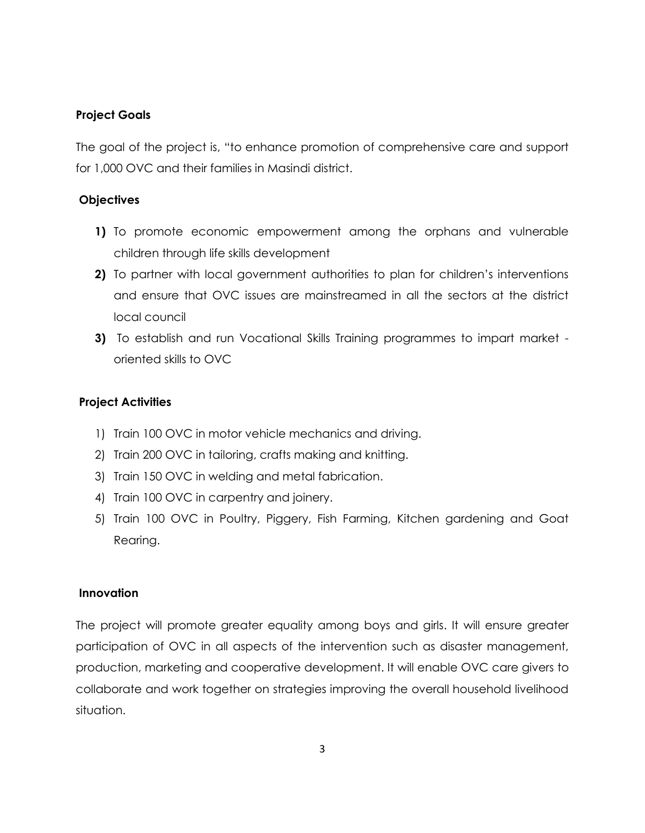### **Project Goals**

The goal of the project is, "to enhance promotion of comprehensive care and support for 1,000 OVC and their families in Masindi district.

#### **Objectives**

- **1)** To promote economic empowerment among the orphans and vulnerable children through life skills development
- **2)** To partner with local government authorities to plan for children's interventions and ensure that OVC issues are mainstreamed in all the sectors at the district local council
- **3)** To establish and run Vocational Skills Training programmes to impart market oriented skills to OVC

#### **Project Activities**

- 1) Train 100 OVC in motor vehicle mechanics and driving.
- 2) Train 200 OVC in tailoring, crafts making and knitting.
- 3) Train 150 OVC in welding and metal fabrication.
- 4) Train 100 OVC in carpentry and joinery.
- 5) Train 100 OVC in Poultry, Piggery, Fish Farming, Kitchen gardening and Goat Rearing.

#### **Innovation**

The project will promote greater equality among boys and girls. It will ensure greater participation of OVC in all aspects of the intervention such as disaster management, production, marketing and cooperative development. It will enable OVC care givers to collaborate and work together on strategies improving the overall household livelihood situation.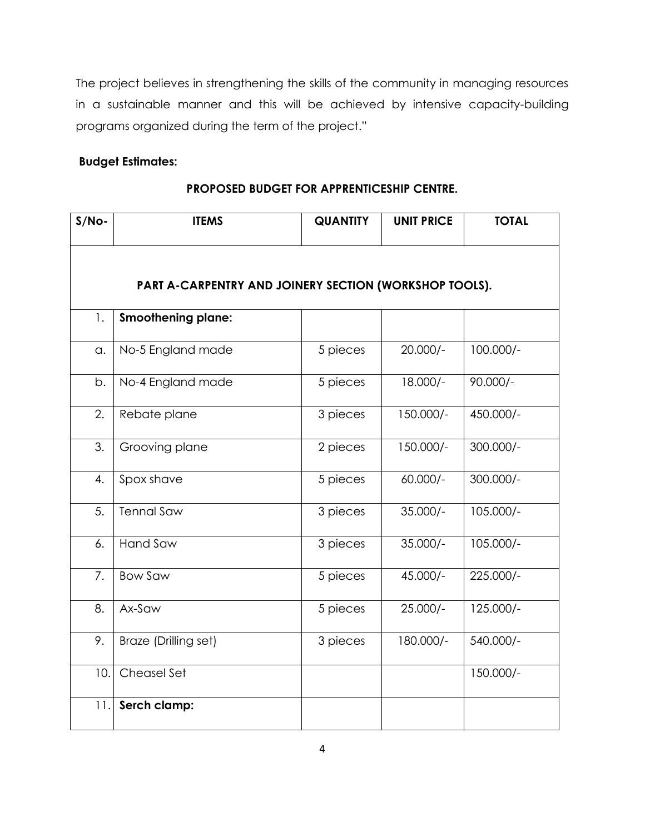The project believes in strengthening the skills of the community in managing resources in a sustainable manner and this will be achieved by intensive capacity-building programs organized during the term of the project."

## **Budget Estimates:**

| PROPOSED BUDGET FOR APPRENTICESHIP CENTRE. |
|--------------------------------------------|
|--------------------------------------------|

| $S/No-$ | <b>ITEMS</b>                                           | <b>QUANTITY</b> | <b>UNIT PRICE</b> | <b>TOTAL</b> |
|---------|--------------------------------------------------------|-----------------|-------------------|--------------|
|         |                                                        |                 |                   |              |
|         | PART A-CARPENTRY AND JOINERY SECTION (WORKSHOP TOOLS). |                 |                   |              |
| 1.      | <b>Smoothening plane:</b>                              |                 |                   |              |
| a.      | No-5 England made                                      | 5 pieces        | $20.000/-$        | $100.000/-$  |
| b.      | No-4 England made                                      | 5 pieces        | 18.000/-          | $90.000/-$   |
| 2.      | Rebate plane                                           | 3 pieces        | 150.000/-         | 450.000/-    |
| 3.      | Grooving plane                                         | 2 pieces        | 150.000/-         | 300.000/-    |
| 4.      | Spox shave                                             | 5 pieces        | $60.000/-$        | 300.000/-    |
| 5.      | <b>Tennal Saw</b>                                      | 3 pieces        | $35.000/-$        | 105.000/-    |
| 6.      | <b>Hand Saw</b>                                        | 3 pieces        | $35.000/-$        | 105.000/-    |
| 7.      | <b>Bow Saw</b>                                         | 5 pieces        | 45.000/-          | 225.000/-    |
| 8.      | Ax-Saw                                                 | 5 pieces        | $25.000/-$        | 125.000/-    |
| 9.      | Braze (Drilling set)                                   | 3 pieces        | 180.000/-         | 540.000/-    |
| 10.     | Cheasel Set                                            |                 |                   | 150.000/-    |
| 11.     | Serch clamp:                                           |                 |                   |              |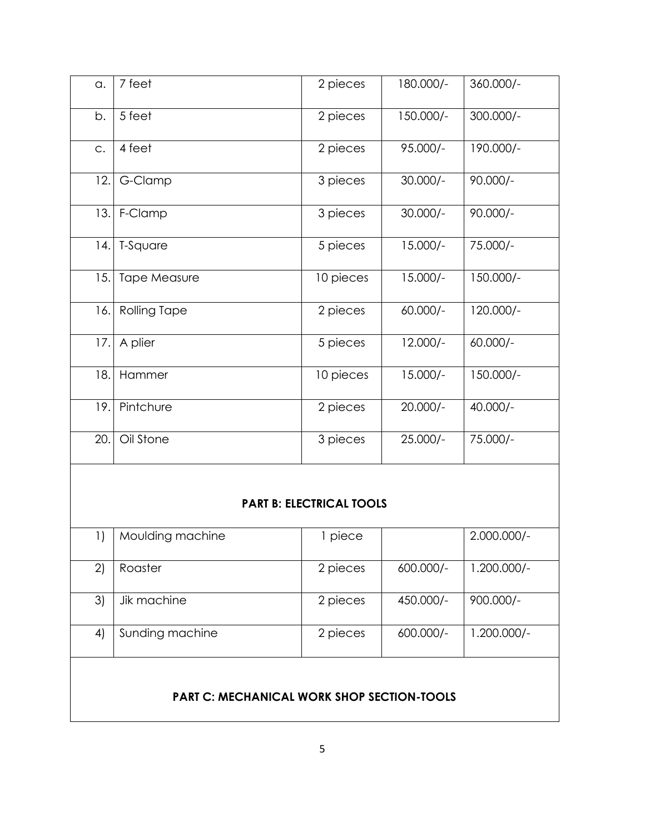| a.  | 7 feet              | 2 pieces  | 180.000/-  | 360.000/-   |
|-----|---------------------|-----------|------------|-------------|
| b.  | 5 feet              | 2 pieces  | 150.000/-  | $300.000/-$ |
| C.  | 4 feet              | 2 pieces  | $95.000/-$ | 190.000/-   |
| 12. | G-Clamp             | 3 pieces  | $30.000/-$ | $90.000/-$  |
| 13. | F-Clamp             | 3 pieces  | $30.000/-$ | $90.000/-$  |
| 4.  | T-Square            | 5 pieces  | $15.000/-$ | 75.000/-    |
| 15. | <b>Tape Measure</b> | 10 pieces | $15.000/-$ | $150.000/-$ |
| 16. | <b>Rolling Tape</b> | 2 pieces  | $60.000/-$ | 120.000/-   |
| 17. | A plier             | 5 pieces  | $12.000/-$ | $60.000/-$  |
| 18. | Hammer              | 10 pieces | $15.000/-$ | 150.000/-   |
| 19. | Pintchure           | 2 pieces  | $20.000/-$ | $40.000/-$  |
| 20. | Oil Stone           | 3 pieces  | $25.000/-$ | 75.000/-    |

## **PART B: ELECTRICAL TOOLS**

| $\left  \right $                                  | Moulding machine | l piece  |           | $2.000.000/-$ |  |
|---------------------------------------------------|------------------|----------|-----------|---------------|--|
| 2)                                                | Roaster          | 2 pieces | 600.000/- | $1.200.000/-$ |  |
| 3)                                                | Jik machine      | 2 pieces | 450.000/- | $900.000/-$   |  |
| 4)                                                | Sunding machine  | 2 pieces | 600.000/- | $1.200.000/-$ |  |
| <b>PART C: MECHANICAL WORK SHOP SECTION-TOOLS</b> |                  |          |           |               |  |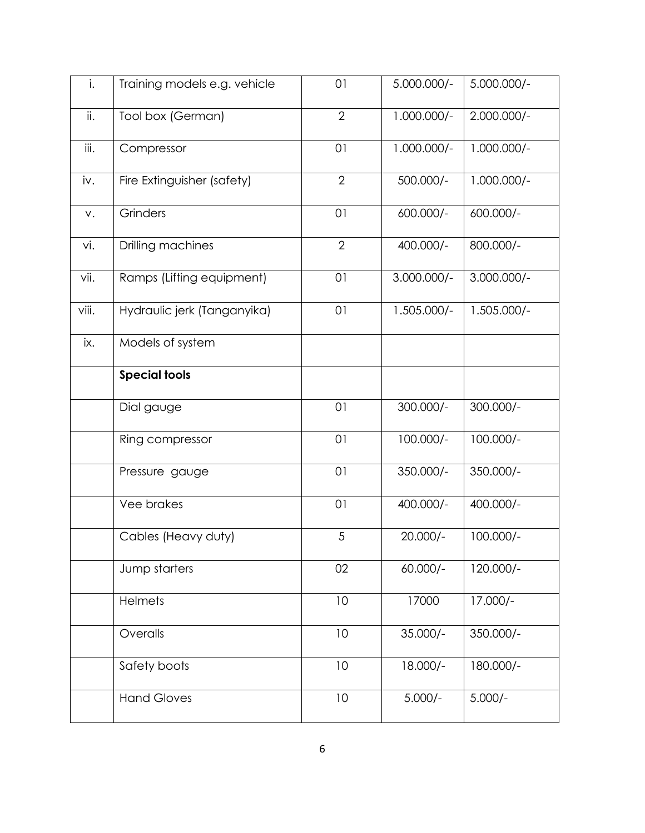| i.    | Training models e.g. vehicle | 01             | 5.000.000/-   | 5.000.000/-   |
|-------|------------------------------|----------------|---------------|---------------|
| ii.   | Tool box (German)            | $\overline{2}$ | $1.000.000/-$ | $2.000.000/-$ |
| iii.  | Compressor                   | 01             | $1.000.000/-$ | $1.000.000/-$ |
| iv.   | Fire Extinguisher (safety)   | $\overline{2}$ | 500.000/-     | $1.000.000/-$ |
| V.    | Grinders                     | 01             | 600.000/-     | 600.000/-     |
| vi.   | Drilling machines            | $\overline{2}$ | 400.000/-     | 800.000/-     |
| vii.  | Ramps (Lifting equipment)    | 01             | $3.000.000/-$ | $3.000.000/-$ |
| viii. | Hydraulic jerk (Tanganyika)  | 01             | 1.505.000/-   | $1.505.000/-$ |
| ix.   | Models of system             |                |               |               |
|       | <b>Special tools</b>         |                |               |               |
|       | Dial gauge                   | 01             | 300.000/-     | 300.000/-     |
|       | Ring compressor              | 01             | 100.000/-     | 100.000/-     |
|       | Pressure gauge               | 01             | 350.000/-     | 350.000/-     |
|       | Vee brakes                   | 01             | 400.000/-     | 400.000/-     |
|       | Cables (Heavy duty)          | 5              | 20.000/-      | $100.000/-$   |
|       | Jump starters                | 02             | 60.000/-      | $120.000/-$   |
|       | <b>Helmets</b>               | 10             | 17000         | 17.000/-      |
|       | Overalls                     | 10             | $35.000/-$    | 350.000/-     |
|       | Safety boots                 | 10             | 18.000/-      | 180.000/-     |
|       | <b>Hand Gloves</b>           | $10\,$         | $5.000/-$     | $5.000/-$     |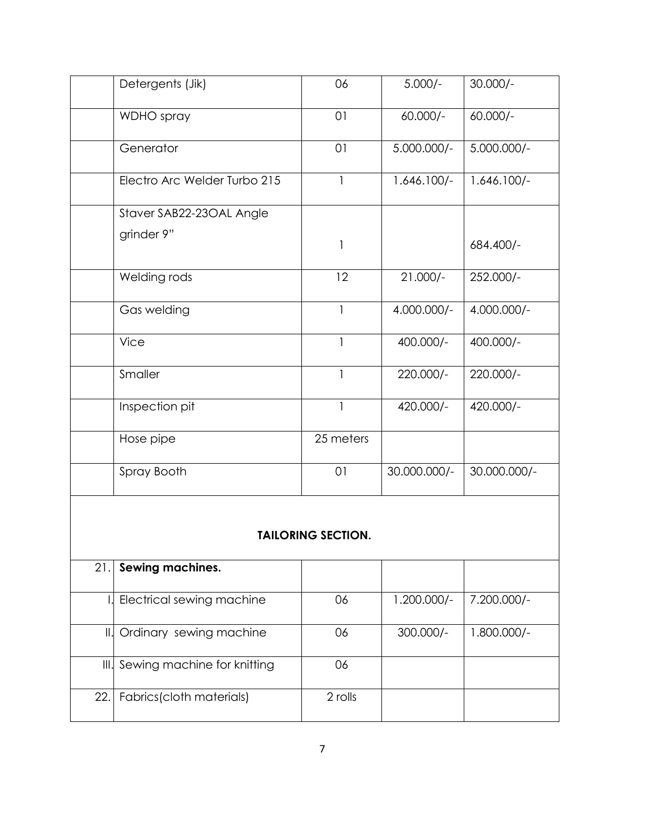|                           | Detergents (Jik)             | 06           | $5.000/-$     | $30.000/-$    |  |  |
|---------------------------|------------------------------|--------------|---------------|---------------|--|--|
|                           | WDHO spray                   | 01           | $60.000/-$    | $60.000/-$    |  |  |
|                           | Generator                    | 01           | $5.000.000/-$ | $5.000.000/-$ |  |  |
|                           | Electro Arc Welder Turbo 215 | $\mathbf{1}$ | $1.646.100/-$ | $1.646.100/-$ |  |  |
|                           | Staver SAB22-23OAL Angle     |              |               |               |  |  |
|                           | grinder 9"                   | 1            |               | 684.400/-     |  |  |
|                           | Welding rods                 | 12           | $21.000/-$    | 252.000/-     |  |  |
|                           | Gas welding                  | $\mathbf{1}$ | 4.000.000/-   | 4.000.000/-   |  |  |
|                           | <b>Vice</b>                  | $\mathbf{1}$ | 400.000/-     | 400.000/-     |  |  |
|                           | Smaller                      | $\mathbf{1}$ | 220.000/-     | 220.000/-     |  |  |
|                           | Inspection pit               | $\mathbf{1}$ | 420.000/-     | 420.000/-     |  |  |
|                           | Hose pipe                    | 25 meters    |               |               |  |  |
|                           | Spray Booth                  | 01           | 30.000.000/-  | 30.000.000/-  |  |  |
| <b>TAILORING SECTION.</b> |                              |              |               |               |  |  |
| 21.                       | Sewing machines.             |              |               |               |  |  |
|                           | Electrical sewing machine    | 06           | $1.200.000/-$ | 7.200.000/-   |  |  |
| $\mathbb{H}$              | Ordinary sewing machine      | 06           | 300.000/-     | $1.800.000/-$ |  |  |

III. Sewing machine for knitting 06

22. Fabrics(cloth materials) 2 rolls